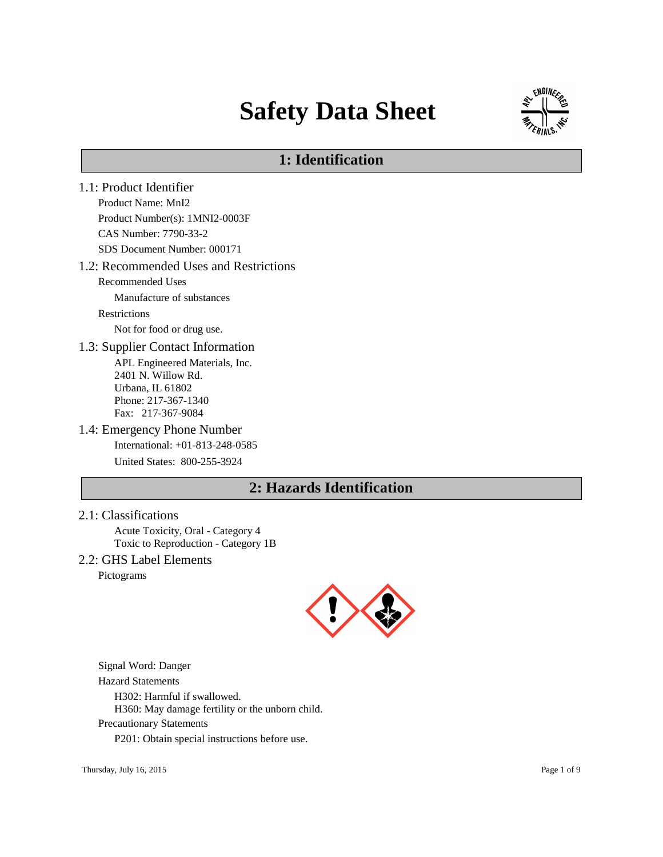# **Safety Data Sheet**



# **1: Identification**

- 1.1: Product Identifier Product Name: MnI2 Product Number(s): 1MNI2-0003F CAS Number: 7790-33-2 SDS Document Number: 000171 1.2: Recommended Uses and Restrictions Recommended Uses Manufacture of substances Restrictions Not for food or drug use. 1.3: Supplier Contact Information APL Engineered Materials, Inc. 2401 N. Willow Rd. Urbana, IL 61802 Phone: 217-367-1340 Fax: 217-367-9084 1.4: Emergency Phone Number International: +01-813-248-0585 United States: 800-255-3924 **2: Hazards Identification**
- 2.1: Classifications

Acute Toxicity, Oral - Category 4 Toxic to Reproduction - Category 1B

2.2: GHS Label Elements

Pictograms



Signal Word: Danger

Hazard Statements

H302: Harmful if swallowed. H360: May damage fertility or the unborn child. Precautionary Statements

P201: Obtain special instructions before use.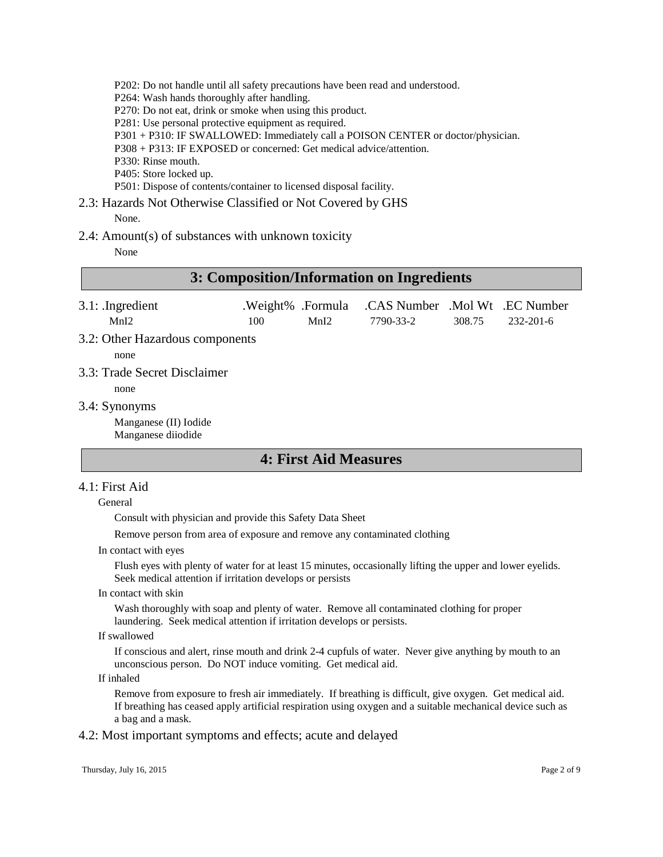P202: Do not handle until all safety precautions have been read and understood.

P264: Wash hands thoroughly after handling.

P270: Do not eat, drink or smoke when using this product.

P281: Use personal protective equipment as required.

P301 + P310: IF SWALLOWED: Immediately call a POISON CENTER or doctor/physician.

P308 + P313: IF EXPOSED or concerned: Get medical advice/attention.

P330: Rinse mouth.

P405: Store locked up.

P501: Dispose of contents/container to licensed disposal facility.

# 2.3: Hazards Not Otherwise Classified or Not Covered by GHS

None.

2.4: Amount(s) of substances with unknown toxicity

None

# **3: Composition/Information on Ingredients**

| $3.1:$ Ingredient               |     |      | .Weight% .Formula .CAS Number .Mol Wt .EC Number |        |           |
|---------------------------------|-----|------|--------------------------------------------------|--------|-----------|
| MnI2                            | 100 | MnI2 | 7790-33-2                                        | 308.75 | 232-201-6 |
| 3.2: Other Hazardous components |     |      |                                                  |        |           |

none

3.3: Trade Secret Disclaimer

none

3.4: Synonyms

Manganese (II) Iodide Manganese diiodide

# **4: First Aid Measures**

### 4.1: First Aid

#### General

Consult with physician and provide this Safety Data Sheet

Remove person from area of exposure and remove any contaminated clothing

In contact with eyes

Flush eyes with plenty of water for at least 15 minutes, occasionally lifting the upper and lower eyelids. Seek medical attention if irritation develops or persists

In contact with skin

Wash thoroughly with soap and plenty of water. Remove all contaminated clothing for proper laundering. Seek medical attention if irritation develops or persists.

If swallowed

If conscious and alert, rinse mouth and drink 2-4 cupfuls of water. Never give anything by mouth to an unconscious person. Do NOT induce vomiting. Get medical aid.

If inhaled

Remove from exposure to fresh air immediately. If breathing is difficult, give oxygen. Get medical aid. If breathing has ceased apply artificial respiration using oxygen and a suitable mechanical device such as a bag and a mask.

4.2: Most important symptoms and effects; acute and delayed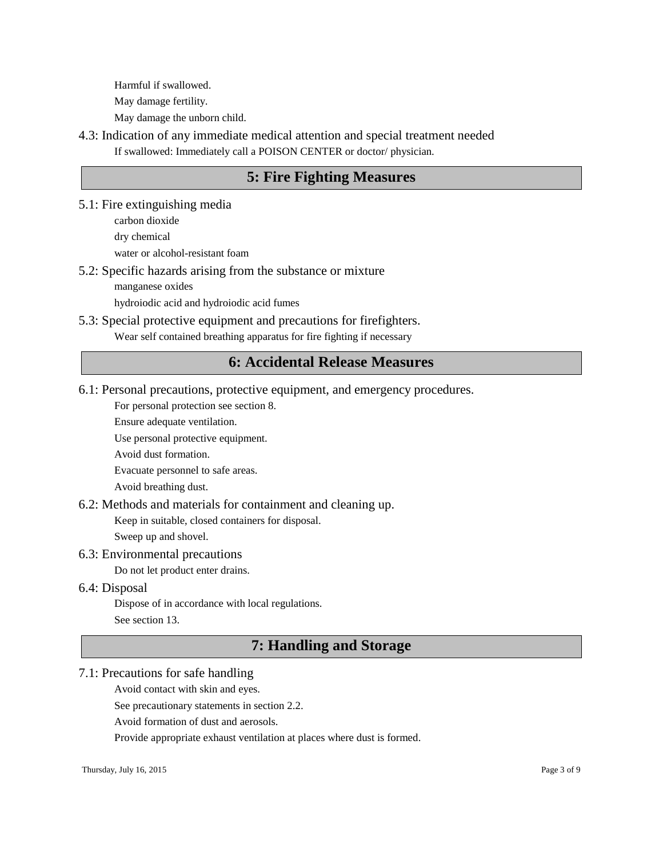Harmful if swallowed.

May damage fertility.

May damage the unborn child.

4.3: Indication of any immediate medical attention and special treatment needed If swallowed: Immediately call a POISON CENTER or doctor/ physician.

# **5: Fire Fighting Measures**

5.1: Fire extinguishing media carbon dioxide

dry chemical

water or alcohol-resistant foam

# 5.2: Specific hazards arising from the substance or mixture

manganese oxides

hydroiodic acid and hydroiodic acid fumes

### 5.3: Special protective equipment and precautions for firefighters.

Wear self contained breathing apparatus for fire fighting if necessary

# **6: Accidental Release Measures**

- 6.1: Personal precautions, protective equipment, and emergency procedures.
	- For personal protection see section 8.
	- Ensure adequate ventilation.
	- Use personal protective equipment.
	- Avoid dust formation.
	- Evacuate personnel to safe areas.
	- Avoid breathing dust.

# 6.2: Methods and materials for containment and cleaning up.

Keep in suitable, closed containers for disposal.

Sweep up and shovel.

6.3: Environmental precautions

Do not let product enter drains.

6.4: Disposal

Dispose of in accordance with local regulations. See section 13.

# **7: Handling and Storage**

# 7.1: Precautions for safe handling

Avoid contact with skin and eyes.

See precautionary statements in section 2.2.

Avoid formation of dust and aerosols.

Provide appropriate exhaust ventilation at places where dust is formed.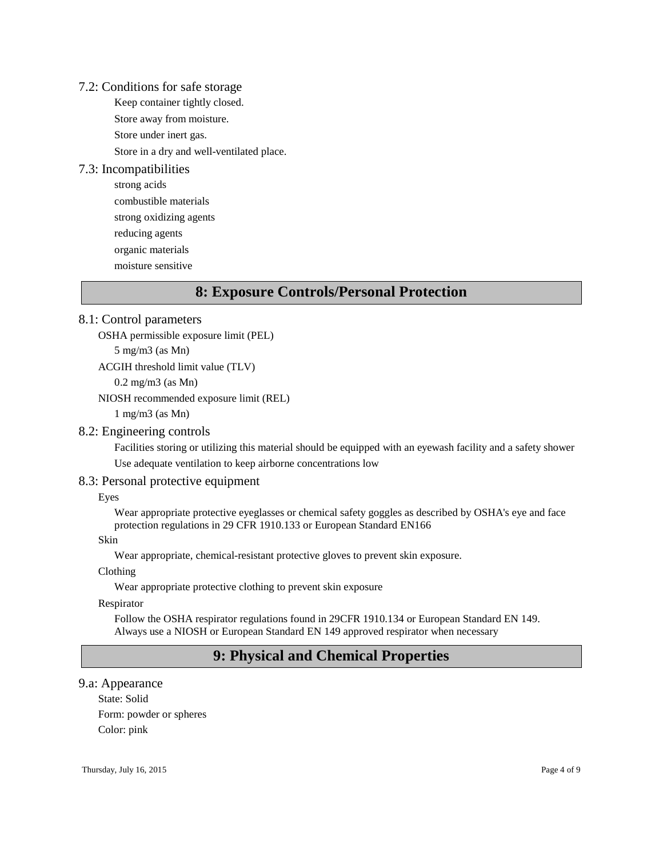### 7.2: Conditions for safe storage

- Keep container tightly closed.
- Store away from moisture.
- Store under inert gas.

Store in a dry and well-ventilated place.

### 7.3: Incompatibilities

strong acids combustible materials strong oxidizing agents reducing agents

organic materials

moisture sensitive

# **8: Exposure Controls/Personal Protection**

8.1: Control parameters

OSHA permissible exposure limit (PEL) 5 mg/m3 (as Mn)

ACGIH threshold limit value (TLV)

0.2 mg/m3 (as Mn)

NIOSH recommended exposure limit (REL)

1 mg/m3 (as Mn)

### 8.2: Engineering controls

Facilities storing or utilizing this material should be equipped with an eyewash facility and a safety shower Use adequate ventilation to keep airborne concentrations low

### 8.3: Personal protective equipment

#### Eyes

Wear appropriate protective eyeglasses or chemical safety goggles as described by OSHA's eye and face protection regulations in 29 CFR 1910.133 or European Standard EN166

Skin

Wear appropriate, chemical-resistant protective gloves to prevent skin exposure.

#### Clothing

Wear appropriate protective clothing to prevent skin exposure

#### Respirator

Follow the OSHA respirator regulations found in 29CFR 1910.134 or European Standard EN 149. Always use a NIOSH or European Standard EN 149 approved respirator when necessary

# **9: Physical and Chemical Properties**

### 9.a: Appearance

State: Solid Form: powder or spheres Color: pink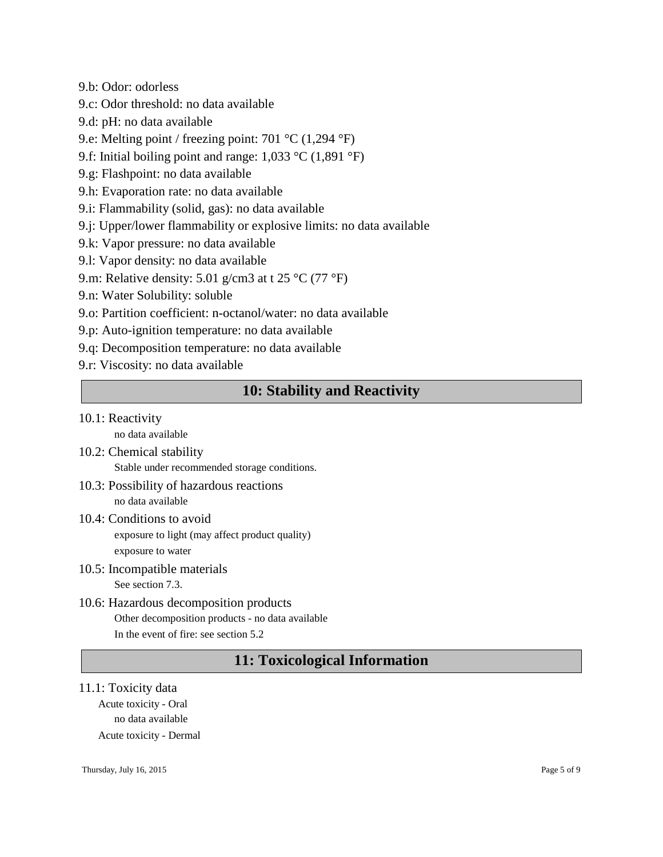9.b: Odor: odorless

- 9.c: Odor threshold: no data available
- 9.d: pH: no data available
- 9.e: Melting point / freezing point: 701 °C (1,294 °F)
- 9.f: Initial boiling point and range: 1,033 °C (1,891 °F)
- 9.g: Flashpoint: no data available
- 9.h: Evaporation rate: no data available
- 9.i: Flammability (solid, gas): no data available
- 9.j: Upper/lower flammability or explosive limits: no data available
- 9.k: Vapor pressure: no data available
- 9.l: Vapor density: no data available
- 9.m: Relative density: 5.01 g/cm3 at t 25  $^{\circ}$ C (77  $^{\circ}$ F)
- 9.n: Water Solubility: soluble
- 9.o: Partition coefficient: n-octanol/water: no data available
- 9.p: Auto-ignition temperature: no data available
- 9.q: Decomposition temperature: no data available
- 9.r: Viscosity: no data available

# **10: Stability and Reactivity**

### 10.1: Reactivity

no data available

- 10.2: Chemical stability Stable under recommended storage conditions.
- 10.3: Possibility of hazardous reactions no data available
- 10.4: Conditions to avoid exposure to light (may affect product quality) exposure to water
- 10.5: Incompatible materials See section 7.3.

# 10.6: Hazardous decomposition products Other decomposition products - no data available In the event of fire: see section 5.2

# **11: Toxicological Information**

### 11.1: Toxicity data

Acute toxicity - Oral no data available Acute toxicity - Dermal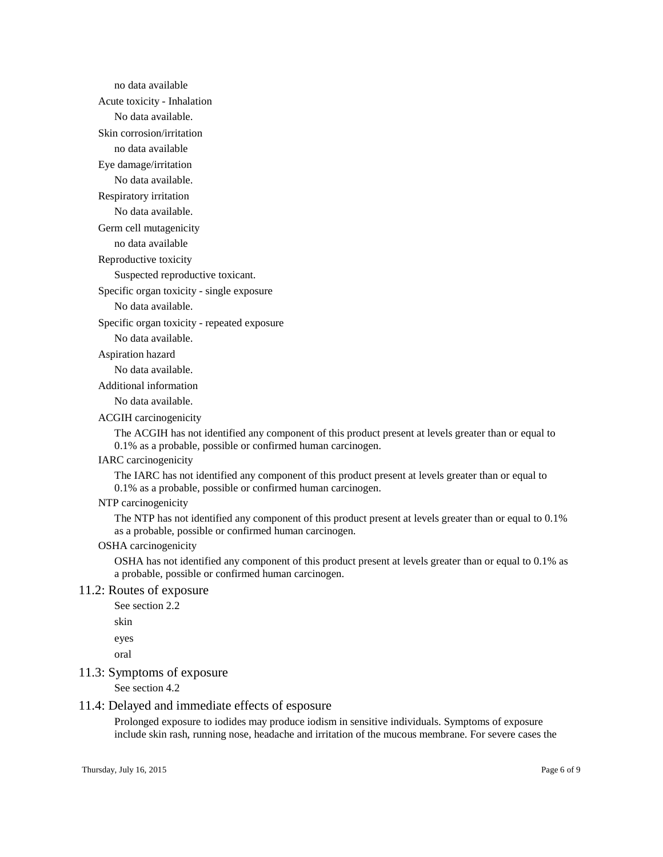no data available

Acute toxicity - Inhalation

No data available.

Skin corrosion/irritation

no data available

Eye damage/irritation

No data available.

Respiratory irritation

No data available.

Germ cell mutagenicity no data available

Reproductive toxicity

Suspected reproductive toxicant.

Specific organ toxicity - single exposure

No data available.

Specific organ toxicity - repeated exposure

No data available.

Aspiration hazard

No data available.

Additional information

No data available.

ACGIH carcinogenicity

The ACGIH has not identified any component of this product present at levels greater than or equal to 0.1% as a probable, possible or confirmed human carcinogen.

#### IARC carcinogenicity

The IARC has not identified any component of this product present at levels greater than or equal to 0.1% as a probable, possible or confirmed human carcinogen.

#### NTP carcinogenicity

The NTP has not identified any component of this product present at levels greater than or equal to 0.1% as a probable, possible or confirmed human carcinogen.

#### OSHA carcinogenicity

OSHA has not identified any component of this product present at levels greater than or equal to 0.1% as a probable, possible or confirmed human carcinogen.

### 11.2: Routes of exposure

See section 2.2

skin

eyes

oral

### 11.3: Symptoms of exposure

See section 4.2

#### 11.4: Delayed and immediate effects of esposure

Prolonged exposure to iodides may produce iodism in sensitive individuals. Symptoms of exposure include skin rash, running nose, headache and irritation of the mucous membrane. For severe cases the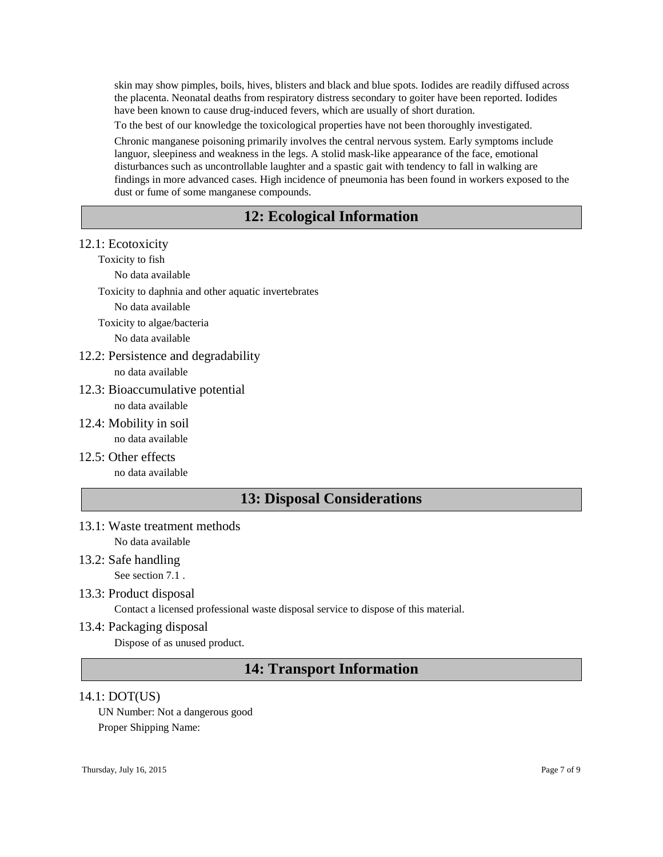skin may show pimples, boils, hives, blisters and black and blue spots. Iodides are readily diffused across the placenta. Neonatal deaths from respiratory distress secondary to goiter have been reported. Iodides have been known to cause drug-induced fevers, which are usually of short duration.

To the best of our knowledge the toxicological properties have not been thoroughly investigated.

Chronic manganese poisoning primarily involves the central nervous system. Early symptoms include languor, sleepiness and weakness in the legs. A stolid mask-like appearance of the face, emotional disturbances such as uncontrollable laughter and a spastic gait with tendency to fall in walking are findings in more advanced cases. High incidence of pneumonia has been found in workers exposed to the dust or fume of some manganese compounds.

# **12: Ecological Information**

#### 12.1: Ecotoxicity

Toxicity to fish No data available Toxicity to daphnia and other aquatic invertebrates No data available Toxicity to algae/bacteria No data available 12.2: Persistence and degradability no data available 12.3: Bioaccumulative potential no data available 12.4: Mobility in soil

no data available

12.5: Other effects no data available

# **13: Disposal Considerations**

- 13.1: Waste treatment methods No data available
- 13.2: Safe handling

See section 7.1 .

13.3: Product disposal

Contact a licensed professional waste disposal service to dispose of this material.

13.4: Packaging disposal

Dispose of as unused product.

# **14: Transport Information**

## 14.1: DOT(US)

UN Number: Not a dangerous good Proper Shipping Name: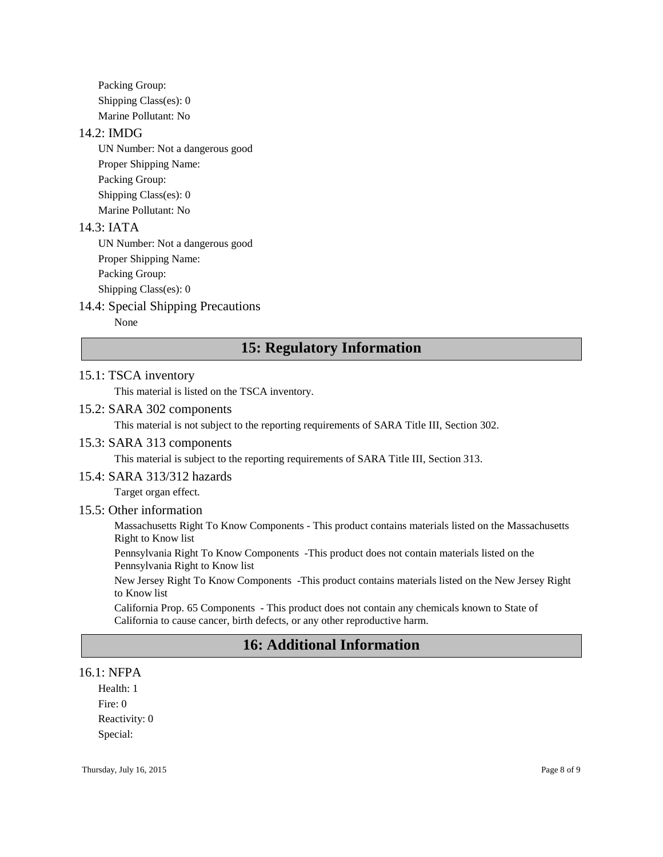Packing Group: Shipping Class(es): 0 Marine Pollutant: No

#### 14.2: IMDG

UN Number: Not a dangerous good Proper Shipping Name: Packing Group: Shipping Class(es): 0 Marine Pollutant: No

#### 14.3: IATA

UN Number: Not a dangerous good Proper Shipping Name: Packing Group: Shipping Class(es): 0

# 14.4: Special Shipping Precautions

None

# **15: Regulatory Information**

### 15.1: TSCA inventory

This material is listed on the TSCA inventory.

### 15.2: SARA 302 components

This material is not subject to the reporting requirements of SARA Title III, Section 302.

#### 15.3: SARA 313 components

This material is subject to the reporting requirements of SARA Title III, Section 313.

#### 15.4: SARA 313/312 hazards

Target organ effect.

#### 15.5: Other information

Massachusetts Right To Know Components - This product contains materials listed on the Massachusetts Right to Know list

Pennsylvania Right To Know Components -This product does not contain materials listed on the Pennsylvania Right to Know list

New Jersey Right To Know Components -This product contains materials listed on the New Jersey Right to Know list

California Prop. 65 Components - This product does not contain any chemicals known to State of California to cause cancer, birth defects, or any other reproductive harm.

# **16: Additional Information**

### 16.1: NFPA

Health: 1 Fire: 0 Reactivity: 0 Special: